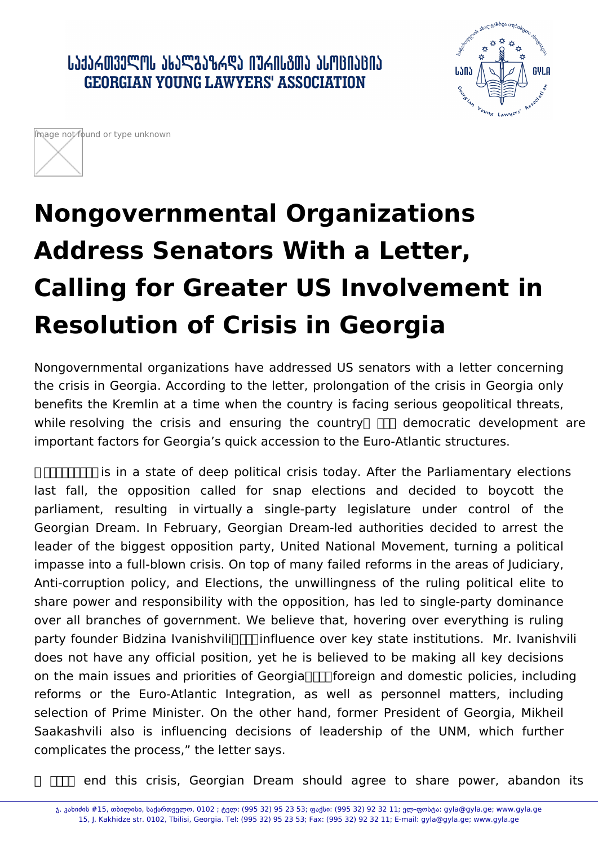ᲡᲐᲥᲐᲠᲗᲕᲔᲚᲝᲡ ᲐᲮᲐᲚᲒᲐᲖᲠᲓᲐ ᲘᲣᲠᲘᲡᲒᲗᲐ ᲐᲡᲝᲪᲘᲐᲪᲘᲐ **GEORGIAN YOUNG LAWYERS' ASSOCIATION** 





## **Nongovernmental Organizations Address Senators With a Letter, Calling for Greater US Involvement in Resolution of Crisis in Georgia**

Nongovernmental organizations have addressed US senators with a letter concerning the crisis in Georgia. According to the letter, prolongation of the crisis in Georgia only benefits the Kremlin at a time when the country is facing serious geopolitical threats, while resolving the crisis and ensuring the country  $\Box$  democratic development are important factors for Georgia's quick accession to the Euro-Atlantic structures.

 $\Box$  $\Box$  is in a state of deep political crisis today. After the Parliamentary elections last fall, the opposition called for snap elections and decided to boycott the parliament, resulting in virtually a single-party legislature under control of the Georgian Dream. In February, Georgian Dream-led authorities decided to arrest the leader of the biggest opposition party, United National Movement, turning a political impasse into a full-blown crisis. On top of many failed reforms in the areas of Judiciary, Anti-corruption policy, and Elections, the unwillingness of the ruling political elite to share power and responsibility with the opposition, has led to single-party dominance over all branches of government. We believe that, hovering over everything is ruling party founder Bidzina Ivanishvili  $\Pi$  influence over key state institutions. Mr. Ivanishvili does not have any official position, yet he is believed to be making all key decisions on the main issues and priorities of Georgia  $\Pi$  foreign and domestic policies, including reforms or the Euro-Atlantic Integration, as well as personnel matters, including selection of Prime Minister. On the other hand, former President of Georgia, Mikheil Saakashvili also is influencing decisions of leadership of the UNM, which further complicates the process," the letter says.

**TH** end this crisis, Georgian Dream should agree to share power, abandon its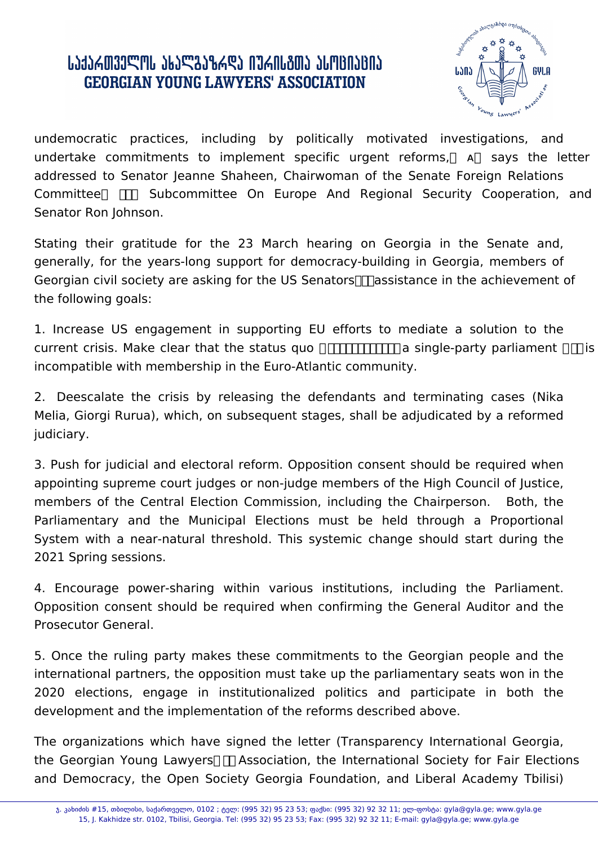## ᲡᲐᲥᲐᲠᲗᲕᲔᲚᲝᲡ ᲐᲮᲐᲚᲒᲐᲖᲠᲓᲐ ᲘᲣᲠᲘᲡᲒᲗᲐ ᲐᲡᲝᲪᲘᲐᲪᲘᲐ **GEORGIAN YOUNG LAWYERS' ASSOCIATION**



undemocratic practices, including by politically motivated investigations, and undertake commitments to implement specific urgent reforms, a says the letter addressed to Senator Jeanne Shaheen, Chairwoman of the Senate Foreign Relations Committee  $\Box$  Subcommittee On Europe And Regional Security Cooperation, and Senator Ron Johnson.

Stating their gratitude for the 23 March hearing on Georgia in the Senate and, generally, for the years-long support for democracy-building in Georgia, members of Georgian civil society are asking for the US Senators  $\Box$  assistance in the achievement of the following goals:

1. Increase US engagement in supporting EU efforts to mediate a solution to the current crisis. Make clear that the status quo  $\Box$  $\Box$  $\Box$  a single-party parliament  $\Box$  is incompatible with membership in the Euro-Atlantic community.

2. Deescalate the crisis by releasing the defendants and terminating cases (Nika Melia, Giorgi Rurua), which, on subsequent stages, shall be adjudicated by a reformed judiciary.

3. Push for judicial and electoral reform. Opposition consent should be required when appointing supreme court judges or non-judge members of the High Council of Justice, members of the Central Election Commission, including the Chairperson. Both, the Parliamentary and the Municipal Elections must be held through a Proportional System with a near-natural threshold. This systemic change should start during the 2021 Spring sessions.

4. Encourage power-sharing within various institutions, including the Parliament. Opposition consent should be required when confirming the General Auditor and the Prosecutor General.

5. Once the ruling party makes these commitments to the Georgian people and the international partners, the opposition must take up the parliamentary seats won in the 2020 elections, engage in institutionalized politics and participate in both the development and the implementation of the reforms described above.

The organizations which have signed the letter (Transparency International Georgia, the Georgian Young Lawyers  $\Box$  Association, the International Society for Fair Elections and Democracy, the Open Society Georgia Foundation, and Liberal Academy Tbilisi)